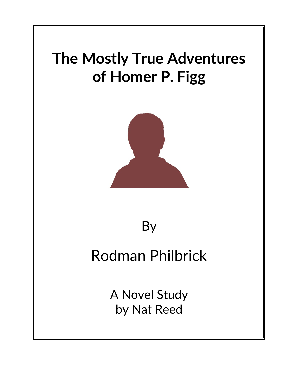

# By

# Rodman Philbrick

A Novel Study by Nat Reed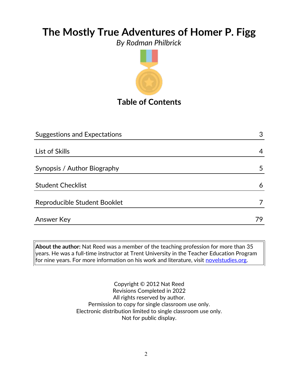*By Rodman Philbrick*



# Suggestions and Expectations 3 List of Skills 4 Synopsis / Author Biography 5 Student Checklist 6 Reproducible Student Booklet 7 and 7 and 7 and 7 and 7 and 7 and 7 and 7 and 7 and 7 and 7 and 7 and 7 and 7 and 7 and 7 and 7 and 7 and 7 and 7 and 7 and 7 and 7 and 7 and 7 and 7 and 7 and 7 and 7 and 7 and 7 and 7 and 7 Answer Key 79

**About the author:** Nat Reed was a member of the teaching profession for more than 35 years. He was a full-time instructor at Trent University in the Teacher Education Program for nine years. For more information on his work and literature, visit [novelstudies.org.](http://www.novelstudies.org/)

> Copyright © 2012 Nat Reed Revisions Completed in 2022 All rights reserved by author. Permission to copy for single classroom use only. Electronic distribution limited to single classroom use only. Not for public display.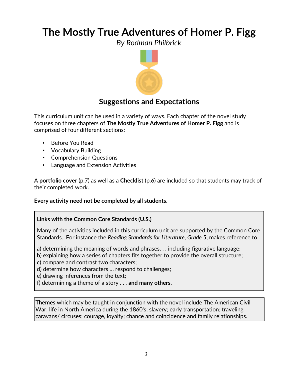*By Rodman Philbrick*



## **Suggestions and Expectations**

This curriculum unit can be used in a variety of ways. Each chapter of the novel study focuses on three chapters of **The Mostly True Adventures of Homer P. Figg** and is comprised of four different sections:

- Before You Read
- Vocabulary Building
- Comprehension Questions
- Language and Extension Activities

A **portfolio cover** (p.7) as well as a **Checklist** (p.6) are included so that students may track of their completed work.

#### **Every activity need not be completed by all students.**

#### **Links with the Common Core Standards (U.S.)**

Many of the activities included in this curriculum unit are supported by the Common Core Standards. For instance the *Reading Standards for Literature, Grade 5*, makes reference to

a) determining the meaning of words and phrases. . . including figurative language;

b) explaining how a series of chapters fits together to provide the overall structure;

c) compare and contrast two characters;

d) determine how characters … respond to challenges;

e) drawing inferences from the text;

f) determining a theme of a story . . . **and many others.**

**Themes** which may be taught in conjunction with the novel include The American Civil War; life in North America during the 1860's; slavery; early transportation; traveling caravans/ circuses; courage, loyalty; chance and coincidence and family relationships.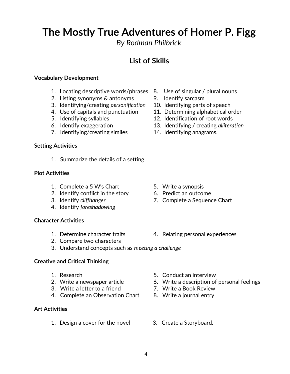*By Rodman Philbrick*

## **List of Skills**

#### **Vocabulary Development**

- 1. Locating descriptive words/phrases 8. Use of singular / plural nouns
- 2. Listing synonyms & antonyms 9. Identify sarcasm
- 3. Identifying/creating *personification* 10. Identifying parts of speech
- 4. Use of capitals and punctuation 11. Determining alphabetical order
- 
- 
- 7. Identifying/creating similes 14. Identifying anagrams.

#### **Setting Activities**

1. Summarize the details of a setting

#### **Plot Activities**

- 1. Complete a 5 W's Chart 5. Write a synopsis
- 2. Identify conflict in the story 6. Predict an outcome
- 
- 4. Identify *foreshadowing*

#### **Character Activities**

- 1. Determine character traits 4. Relating personal experiences
- 2. Compare two characters
- 3. Understand concepts such as *meeting a challenge*

#### **Creative and Critical Thinking**

- 
- 
- 3. Write a letter to a friend 7. Write a Book Review
- 4. Complete an Observation Chart 8. Write a journal entry

#### **Art Activities**

1. Design a cover for the novel 3. Create a Storyboard.

- 
- 
- 
- 
- 5. Identifying syllables 12. Identification of root words
- 6. Identify exaggeration 13. Identifying / creating *alliteration*
	-

- 
- 
- 3. Identify *cliffhanger* 7. Complete a Sequence Chart

- 1. Research 5. Conduct an interview
- 2. Write a newspaper article 6. Write a description of personal feelings
	-
	-
	-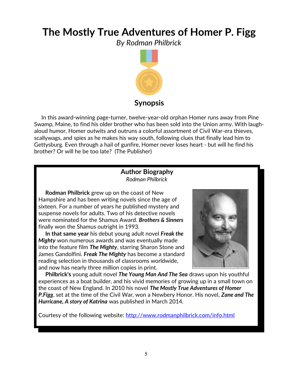*By Rodman Philbrick*



 In this award-winning page-turner, twelve-year-old orphan Homer runs away from Pine Swamp, Maine, to find his older brother who has been sold into the Union army. With laughaloud humor, Homer outwits and outruns a colorful assortment of Civil War-era thieves, scallywags, and spies as he makes his way south, following clues that finally lead him to Gettysburg. Even through a hail of gunfire, Homer never loses heart - but will he find his brother? Or will he be too late? (The Publisher)

### **Author Biography** *Rodman Philbrick*

 **Rodman Philbrick** grew up on the coast of New Hampshire and has been writing novels since the age of sixteen. For a number of years he published mystery and suspense novels for adults. Two of his detective novels were nominated for the Shamus Award. *Brothers & Sinners* finally won the Shamus outright in 1993.

 **In that same year** his debut young adult novel *Freak the Mighty* won numerous awards and was eventually made into the feature film *The Mighty*, starring Sharon Stone and James Gandolfini. *Freak The Mighty* has become a standard reading selection in thousands of classrooms worldwide, and now has nearly three million copies in print.



 **Philbrick's** young adult novel *The Young Man And The Sea* draws upon his youthful experiences as a boat builder, and his vivid memories of growing up in a small town on the coast of New England. In 2010 his novel *The Mostly True Adventures of Homer P.Figg*, set at the time of the Civil War, won a Newbery Honor. His novel, *Zane and The Hurricane, A story of Katrina* was published in March 2014.

Courtesy of the following website:<http://www.rodmanphilbrick.com/info.html>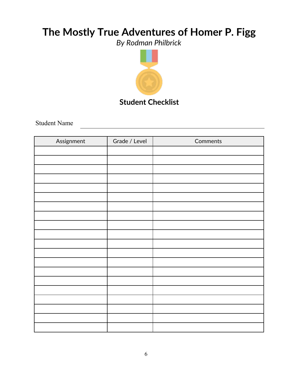*By Rodman Philbrick*



Student Name

| Assignment | Grade / Level | Comments |
|------------|---------------|----------|
|            |               |          |
|            |               |          |
|            |               |          |
|            |               |          |
|            |               |          |
|            |               |          |
|            |               |          |
|            |               |          |
|            |               |          |
|            |               |          |
|            |               |          |
|            |               |          |
|            |               |          |
|            |               |          |
|            |               |          |
|            |               |          |
|            |               |          |
|            |               |          |
|            |               |          |
|            |               |          |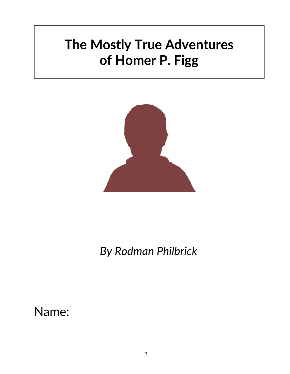

*By Rodman Philbrick*

Name: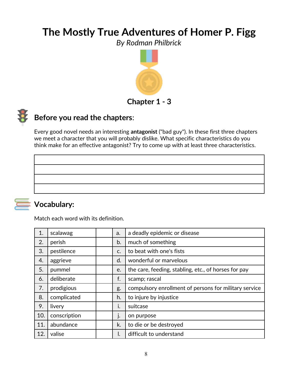*By Rodman Philbrick*



## **Before you read the chapters**:

Every good novel needs an interesting **antagonist** ("bad guy"). In these first three chapters we meet a character that you will probably dislike. What specific characteristics do you think make for an effective antagonist? Try to come up with at least three characteristics.

## **Vocabulary:**

Match each word with its definition.

| 1.  | scalawag     | a.          | a deadly epidemic or disease                          |
|-----|--------------|-------------|-------------------------------------------------------|
| 2.  | perish       | b.          | much of something                                     |
| 3.  | pestilence   | $C_{\cdot}$ | to beat with one's fists                              |
| 4.  | aggrieve     | d.          | wonderful or marvelous                                |
| 5.  | pummel       | e.          | the care, feeding, stabling, etc., of horses for pay  |
| 6.  | deliberate   | f.          | scamp; rascal                                         |
| 7.  | prodigious   | g.          | compulsory enrollment of persons for military service |
| 8.  | complicated  | h.          | to injure by injustice                                |
| 9.  | livery       | ı.          | suitcase                                              |
| 10. | conscription | j.          | on purpose                                            |
| 11. | abundance    | k.          | to die or be destroyed                                |
| 12. | valise       | I.          | difficult to understand                               |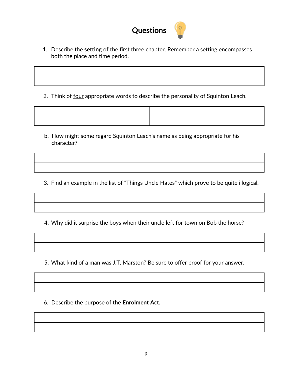

1. Describe the **setting** of the first three chapter. Remember a setting encompasses both the place and time period.

2. Think of four appropriate words to describe the personality of Squinton Leach.

b. How might some regard Squinton Leach's name as being appropriate for his character?

3. Find an example in the list of "Things Uncle Hates" which prove to be quite illogical.

4. Why did it surprise the boys when their uncle left for town on Bob the horse?

5. What kind of a man was J.T. Marston? Be sure to offer proof for your answer.

6. Describe the purpose of the **Enrolment Act.**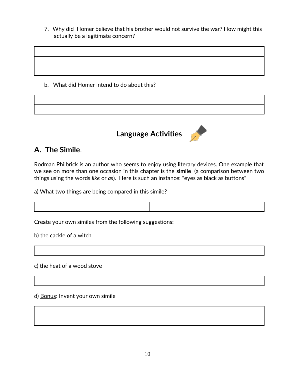7. Why did Homer believe that his brother would not survive the war? How might this actually be a legitimate concern?

b. What did Homer intend to do about this?



## **A. The Simile**.

Rodman Philbrick is an author who seems to enjoy using literary devices. One example that we see on more than one occasion in this chapter is the **simile** (a comparison between two things using the words *like* or *as*). Here is such an instance: "eyes as black as buttons"

a) What two things are being compared in this simile?

Create your own similes from the following suggestions:

b) the cackle of a witch

c) the heat of a wood stove

d) Bonus: Invent your own simile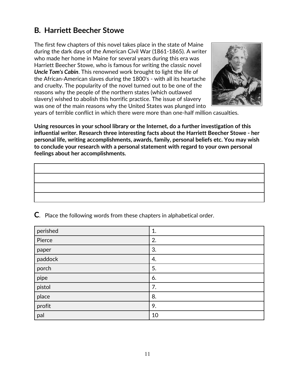## **B***.* **Harriett Beecher Stowe**

The first few chapters of this novel takes place in the state of Maine during the dark days of the American Civil War (1861-1865). A writer who made her home in Maine for several years during this era was Harriett Beecher Stowe, who is famous for writing the classic novel *Uncle Tom's Cabin*. This renowned work brought to light the life of the African-American slaves during the 1800's - with all its heartache and cruelty. The popularity of the novel turned out to be one of the reasons why the people of the northern states (which outlawed slavery) wished to abolish this horrific practice. The issue of slavery was one of the main reasons why the United States was plunged into



years of terrible conflict in which there were more than one-half million casualties.

**Using resources in your school library or the Internet, do a further investigation of this influential writer. Research three interesting facts about the Harriett Beecher Stowe - her personal life, writing accomplishments, awards, family, personal beliefs etc. You may wish to conclude your research with a personal statement with regard to your own personal feelings about her accomplishments.**

| perished | 1. |
|----------|----|
| Pierce   | 2. |
| paper    | 3. |
| paddock  | 4. |
| porch    | 5. |
| pipe     | 6. |
| pistol   | 7. |
| place    | 8. |
| profit   | 9. |
| pal      | 10 |

**C**. Place the following words from these chapters in alphabetical order.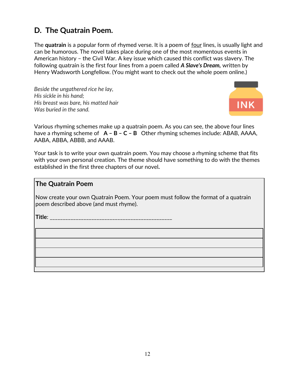## **D. The Quatrain Poem.**

The **quatrain** is a popular form of rhymed verse. It is a poem of four lines, is usually light and can be humorous. The novel takes place during one of the most momentous events in American history – the Civil War. A key issue which caused this conflict was slavery. The following quatrain is the first four lines from a poem called *A Slave's Dream,* written by Henry Wadsworth Longfellow. (You might want to check out the whole poem online.)

*Beside the ungathered rice he lay, His sickle in his hand; His breast was bare, his matted hair Was buried in the sand.*



Various rhyming schemes make up a quatrain poem. As you can see, the above four lines have a rhyming scheme of **A – B – C – B** Other rhyming schemes include: ABAB, AAAA, AABA, ABBA, ABBB, and AAAB.

Your task is to write your own quatrain poem. You may choose a rhyming scheme that fits with your own personal creation. The theme should have something to do with the themes established in the first three chapters of our novel*.*

### **The Quatrain Poem**

Now create your own Quatrain Poem. Your poem must follow the format of a quatrain poem described above (and must rhyme).

**Title**: \_\_\_\_\_\_\_\_\_\_\_\_\_\_\_\_\_\_\_\_\_\_\_\_\_\_\_\_\_\_\_\_\_\_\_\_\_\_\_\_\_\_\_\_\_\_\_